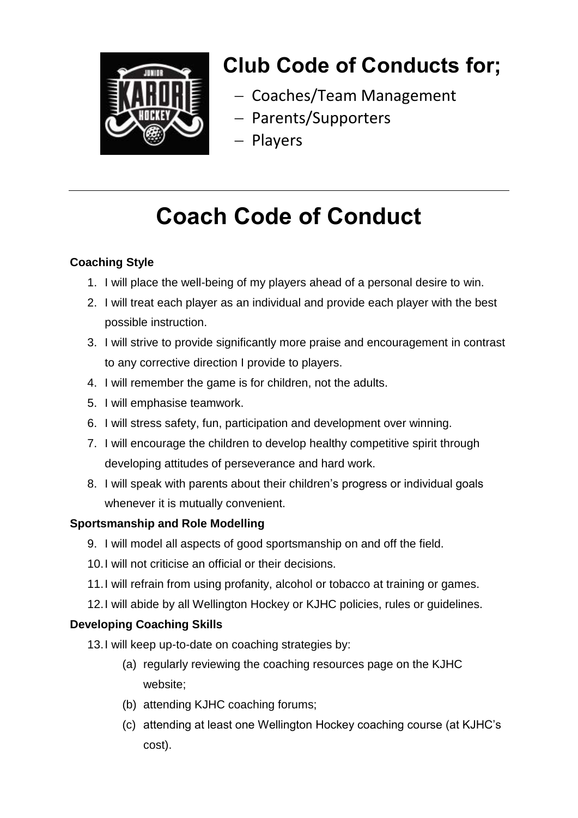

## **Club Code of Conducts for;**

- Coaches/Team Management
- Parents/Supporters
- Players

# **Coach Code of Conduct**

### **Coaching Style**

- 1. I will place the well-being of my players ahead of a personal desire to win.
- 2. I will treat each player as an individual and provide each player with the best possible instruction.
- 3. I will strive to provide significantly more praise and encouragement in contrast to any corrective direction I provide to players.
- 4. I will remember the game is for children, not the adults.
- 5. I will emphasise teamwork.
- 6. I will stress safety, fun, participation and development over winning.
- 7. I will encourage the children to develop healthy competitive spirit through developing attitudes of perseverance and hard work.
- 8. I will speak with parents about their children's progress or individual goals whenever it is mutually convenient.

## **Sportsmanship and Role Modelling**

- 9. I will model all aspects of good sportsmanship on and off the field.
- 10.I will not criticise an official or their decisions.
- 11.I will refrain from using profanity, alcohol or tobacco at training or games.
- 12.I will abide by all Wellington Hockey or KJHC policies, rules or guidelines.

## **Developing Coaching Skills**

- 13.I will keep up-to-date on coaching strategies by:
	- (a) regularly reviewing the coaching resources page on the KJHC website;
	- (b) attending KJHC coaching forums;
	- (c) attending at least one Wellington Hockey coaching course (at KJHC's cost).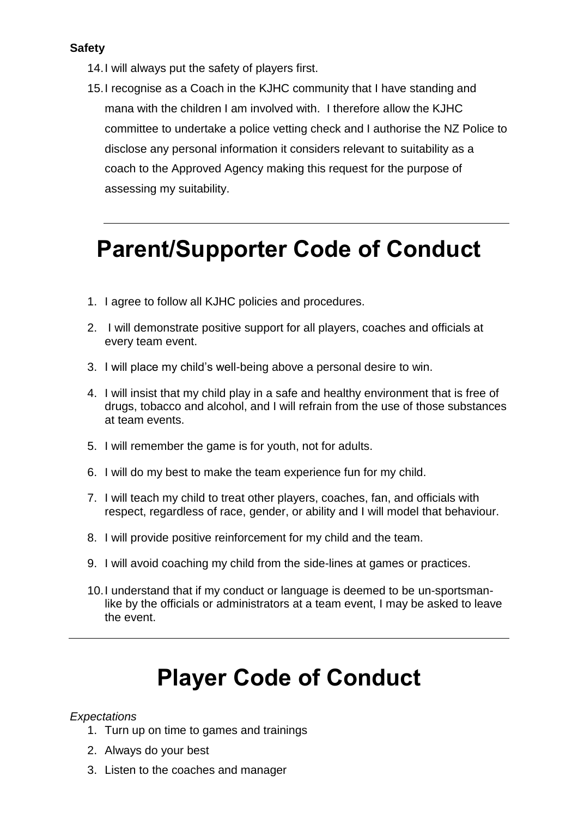### **Safety**

- 14.I will always put the safety of players first.
- 15.I recognise as a Coach in the KJHC community that I have standing and mana with the children I am involved with. I therefore allow the KJHC committee to undertake a police vetting check and I authorise the NZ Police to disclose any personal information it considers relevant to suitability as a coach to the Approved Agency making this request for the purpose of assessing my suitability.

## **Parent/Supporter Code of Conduct**

- 1. I agree to follow all KJHC policies and procedures.
- 2. I will demonstrate positive support for all players, coaches and officials at every team event.
- 3. I will place my child's well-being above a personal desire to win.
- 4. I will insist that my child play in a safe and healthy environment that is free of drugs, tobacco and alcohol, and I will refrain from the use of those substances at team events.
- 5. I will remember the game is for youth, not for adults.
- 6. I will do my best to make the team experience fun for my child.
- 7. I will teach my child to treat other players, coaches, fan, and officials with respect, regardless of race, gender, or ability and I will model that behaviour.
- 8. I will provide positive reinforcement for my child and the team.
- 9. I will avoid coaching my child from the side-lines at games or practices.
- 10.I understand that if my conduct or language is deemed to be un-sportsmanlike by the officials or administrators at a team event, I may be asked to leave the event.

# **Player Code of Conduct**

### *Expectations*

- 1. Turn up on time to games and trainings
- 2. Always do your best
- 3. Listen to the coaches and manager